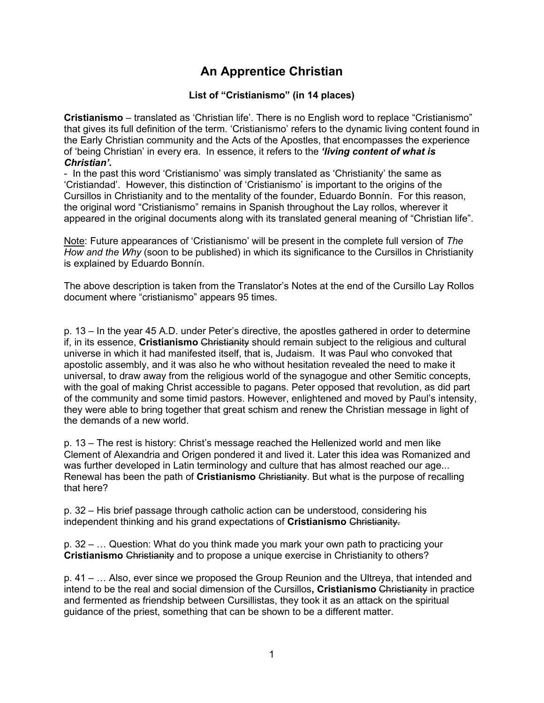## **An Apprentice Christian**

## **List of "Cristianismo" (in 14 places)**

**Cristianismo** – translated as 'Christian life'. There is no English word to replace "Cristianismo" that gives its full definition of the term. 'Cristianismo' refers to the dynamic living content found in the Early Christian community and the Acts of the Apostles, that encompasses the experience of 'being Christian' in every era. In essence, it refers to the *'living content of what is Christian'***.**

- In the past this word 'Cristianismo' was simply translated as 'Christianity' the same as 'Cristiandad'. However, this distinction of 'Cristianismo' is important to the origins of the Cursillos in Christianity and to the mentality of the founder, Eduardo Bonnín. For this reason, the original word "Cristianismo" remains in Spanish throughout the Lay rollos, wherever it appeared in the original documents along with its translated general meaning of "Christian life".

Note: Future appearances of 'Cristianismo' will be present in the complete full version of *The How and the Why* (soon to be published) in which its significance to the Cursillos in Christianity is explained by Eduardo Bonnín.

The above description is taken from the Translator's Notes at the end of the Cursillo Lay Rollos document where "cristianismo" appears 95 times.

p. 13 – In the year 45 A.D. under Peter's directive, the apostles gathered in order to determine if, in its essence, **Cristianismo** Christianity should remain subject to the religious and cultural universe in which it had manifested itself, that is, Judaism. It was Paul who convoked that apostolic assembly, and it was also he who without hesitation revealed the need to make it universal, to draw away from the religious world of the synagogue and other Semitic concepts, with the goal of making Christ accessible to pagans. Peter opposed that revolution, as did part of the community and some timid pastors. However, enlightened and moved by Paul's intensity, they were able to bring together that great schism and renew the Christian message in light of the demands of a new world.

p. 13 – The rest is history: Christ's message reached the Hellenized world and men like Clement of Alexandria and Origen pondered it and lived it. Later this idea was Romanized and was further developed in Latin terminology and culture that has almost reached our age... Renewal has been the path of **Cristianismo** Christianity. But what is the purpose of recalling that here?

p. 32 – His brief passage through catholic action can be understood, considering his independent thinking and his grand expectations of **Cristianismo** Christianity.

p. 32 – … Question: What do you think made you mark your own path to practicing your **Cristianismo** Christianity and to propose a unique exercise in Christianity to others?

p. 41 – … Also, ever since we proposed the Group Reunion and the Ultreya, that intended and intend to be the real and social dimension of the Cursillos**, Cristianismo** Christianity in practice and fermented as friendship between Cursillistas, they took it as an attack on the spiritual guidance of the priest, something that can be shown to be a different matter.